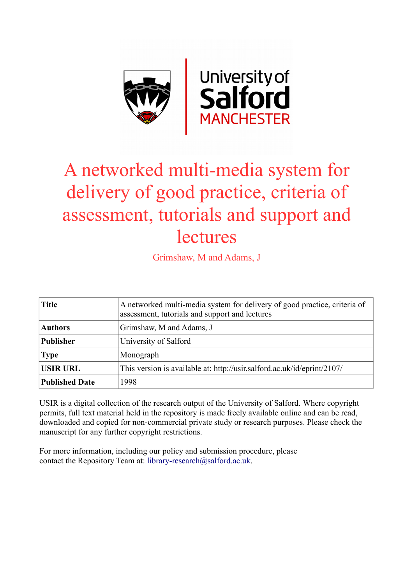

# A networked multi-media system for delivery of good practice, criteria of assessment, tutorials and support and **lectures**

Grimshaw, M and Adams, J

| <b>Title</b>          | A networked multi-media system for delivery of good practice, criteria of<br>assessment, tutorials and support and lectures |
|-----------------------|-----------------------------------------------------------------------------------------------------------------------------|
| <b>Authors</b>        | Grimshaw, M and Adams, J                                                                                                    |
| <b>Publisher</b>      | University of Salford                                                                                                       |
| <b>Type</b>           | Monograph                                                                                                                   |
| <b>USIR URL</b>       | This version is available at: http://usir.salford.ac.uk/id/eprint/2107/                                                     |
| <b>Published Date</b> | 1998                                                                                                                        |

USIR is a digital collection of the research output of the University of Salford. Where copyright permits, full text material held in the repository is made freely available online and can be read, downloaded and copied for non-commercial private study or research purposes. Please check the manuscript for any further copyright restrictions.

For more information, including our policy and submission procedure, please contact the Repository Team at: [library-research@salford.ac.uk.](mailto:library-research@salford.ac.uk)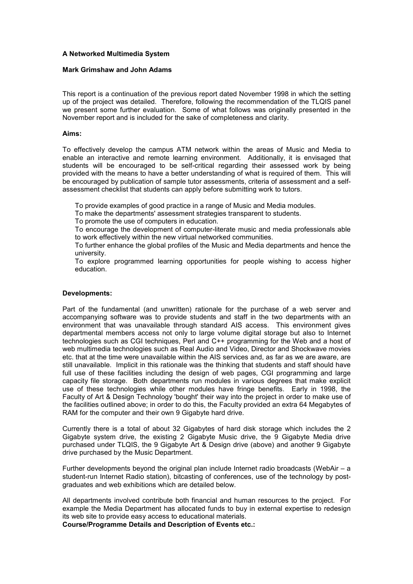## **A Networked Multimedia System**

#### **Mark Grimshaw and John Adams**

This report is a continuation of the previous report dated November 1998 in which the setting up of the project was detailed. Therefore, following the recommendation of the TLQIS panel we present some further evaluation. Some of what follows was originally presented in the November report and is included for the sake of completeness and clarity.

#### **Aims:**

To effectively develop the campus ATM network within the areas of Music and Media to enable an interactive and remote learning environment. Additionally, it is envisaged that students will be encouraged to be self-critical regarding their assessed work by being provided with the means to have a better understanding of what is required of them. This will be encouraged by publication of sample tutor assessments, criteria of assessment and a selfassessment checklist that students can apply before submitting work to tutors.

To provide examples of good practice in a range of Music and Media modules.

To make the departments' assessment strategies transparent to students.

To promote the use of computers in education.

 To encourage the development of computer-literate music and media professionals able to work effectively within the new virtual networked communities.

 To further enhance the global profiles of the Music and Media departments and hence the university.

 To explore programmed learning opportunities for people wishing to access higher education.

## **Developments:**

Part of the fundamental (and unwritten) rationale for the purchase of a web server and accompanying software was to provide students and staff in the two departments with an environment that was unavailable through standard AIS access. This environment gives departmental members access not only to large volume digital storage but also to Internet technologies such as CGI techniques, Perl and C++ programming for the Web and a host of web multimedia technologies such as Real Audio and Video, Director and Shockwave movies etc. that at the time were unavailable within the AIS services and, as far as we are aware, are still unavailable. Implicit in this rationale was the thinking that students and staff should have full use of these facilities including the design of web pages, CGI programming and large capacity file storage. Both departments run modules in various degrees that make explicit use of these technologies while other modules have fringe benefits. Early in 1998, the Faculty of Art & Design Technology 'bought' their way into the project in order to make use of the facilities outlined above; in order to do this, the Faculty provided an extra 64 Megabytes of RAM for the computer and their own 9 Gigabyte hard drive.

Currently there is a total of about 32 Gigabytes of hard disk storage which includes the 2 Gigabyte system drive, the existing 2 Gigabyte Music drive, the 9 Gigabyte Media drive purchased under TLQIS, the 9 Gigabyte Art & Design drive (above) and another 9 Gigabyte drive purchased by the Music Department.

Further developments beyond the original plan include Internet radio broadcasts (WebAir – a student-run Internet Radio station), bitcasting of conferences, use of the technology by postgraduates and web exhibitions which are detailed below.

All departments involved contribute both financial and human resources to the project. For example the Media Department has allocated funds to buy in external expertise to redesign its web site to provide easy access to educational materials.

**Course/Programme Details and Description of Events etc.:**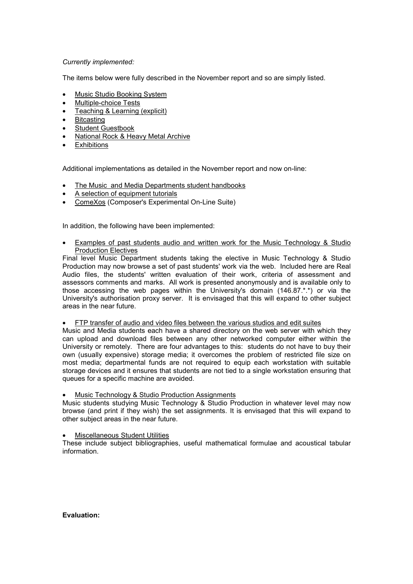## *Currently implemented:*

The items below were fully described in the November report and so are simply listed.

- Music Studio Booking System
- Multiple-choice Tests
- Teaching & Learning (explicit)
- Bitcasting
- Student Guestbook
- National Rock & Heavy Metal Archive
- **Exhibitions**

Additional implementations as detailed in the November report and now on-line:

- The Music and Media Departments student handbooks
- A selection of equipment tutorials
- ComeXos (Composer's Experimental On-Line Suite)

In addition, the following have been implemented:

• Examples of past students audio and written work for the Music Technology & Studio **Production Electives** 

Final level Music Department students taking the elective in Music Technology & Studio Production may now browse a set of past students' work via the web. Included here are Real Audio files, the students' written evaluation of their work, criteria of assessment and assessors comments and marks. All work is presented anonymously and is available only to those accessing the web pages within the University's domain (146.87.\*.\*) or via the University's authorisation proxy server. It is envisaged that this will expand to other subject areas in the near future.

• FTP transfer of audio and video files between the various studios and edit suites

Music and Media students each have a shared directory on the web server with which they can upload and download files between any other networked computer either within the University or remotely. There are four advantages to this: students do not have to buy their own (usually expensive) storage media; it overcomes the problem of restricted file size on most media; departmental funds are not required to equip each workstation with suitable storage devices and it ensures that students are not tied to a single workstation ensuring that queues for a specific machine are avoided.

## Music Technology & Studio Production Assignments

Music students studying Music Technology & Studio Production in whatever level may now browse (and print if they wish) the set assignments. It is envisaged that this will expand to other subject areas in the near future.

#### • Miscellaneous Student Utilities

These include subject bibliographies, useful mathematical formulae and acoustical tabular information.

## **Evaluation:**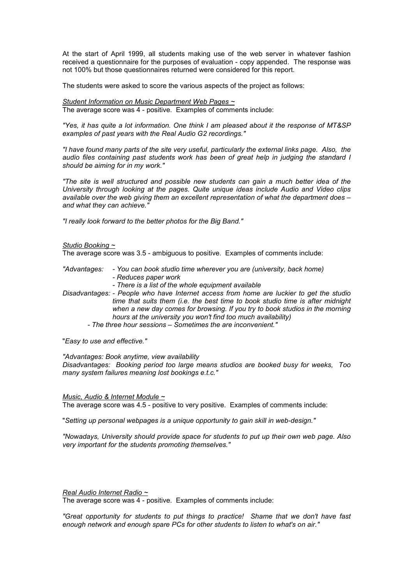At the start of April 1999, all students making use of the web server in whatever fashion received a questionnaire for the purposes of evaluation - copy appended. The response was not 100% but those questionnaires returned were considered for this report.

The students were asked to score the various aspects of the project as follows:

*Student Information on Music Department Web Pages ~* The average score was 4 - positive. Examples of comments include:

*"Yes, it has quite a lot information. One think I am pleased about it the response of MT&SP examples of past years with the Real Audio G2 recordings."* 

*"I have found many parts of the site very useful, particularly the external links page. Also, the audio files containing past students work has been of great help in judging the standard I should be aiming for in my work."* 

*"The site is well structured and possible new students can gain a much better idea of the University through looking at the pages. Quite unique ideas include Audio and Video clips available over the web giving them an excellent representation of what the department does – and what they can achieve."*

*"I really look forward to the better photos for the Big Band."*

#### *Studio Booking ~*

The average score was 3.5 - ambiguous to positive. Examples of comments include:

*"Advantages: - You can book studio time wherever you are (university, back home) - Reduces paper work* 

 *- There is a list of the whole equipment available* 

*Disadvantages: - People who have Internet access from home are luckier to get the studio time that suits them (i.e. the best time to book studio time is after midnight when a new day comes for browsing. If you try to book studios in the morning hours at the university you won't find too much availability)* 

 *- The three hour sessions – Sometimes the are inconvenient."* 

"*Easy to use and effective."* 

*"Advantages: Book anytime, view availability* 

*Disadvantages: Booking period too large means studios are booked busy for weeks, Too many system failures meaning lost bookings e.t.c."*

#### *Music, Audio & Internet Module ~*

The average score was 4.5 - positive to very positive. Examples of comments include:

"*Setting up personal webpages is a unique opportunity to gain skill in web-design."* 

*"Nowadays, University should provide space for students to put up their own web page. Also very important for the students promoting themselves."* 

*Real Audio Internet Radio ~*

The average score was 4 - positive. Examples of comments include:

*"Great opportunity for students to put things to practice! Shame that we don't have fast enough network and enough spare PCs for other students to listen to what's on air."*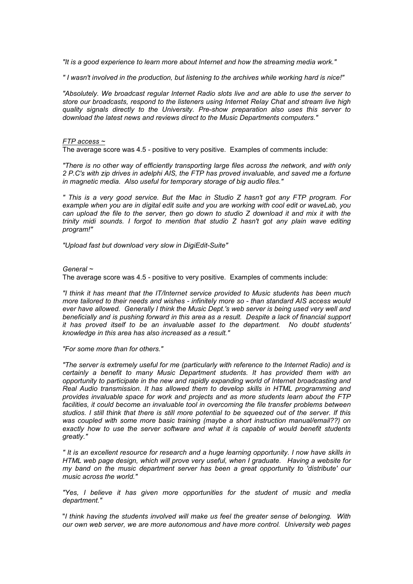*"It is a good experience to learn more about Internet and how the streaming media work."* 

*" I wasn't involved in the production, but listening to the archives while working hard is nice!"* 

*"Absolutely. We broadcast regular Internet Radio slots live and are able to use the server to store our broadcasts, respond to the listeners using Internet Relay Chat and stream live high quality signals directly to the University. Pre-show preparation also uses this server to download the latest news and reviews direct to the Music Departments computers."* 

#### *FTP access ~*

The average score was 4.5 - positive to very positive. Examples of comments include:

*"There is no other way of efficiently transporting large files across the network, and with only 2 P.C's with zip drives in adelphi AIS, the FTP has proved invaluable, and saved me a fortune in magnetic media. Also useful for temporary storage of big audio files."* 

*" This is a very good service. But the Mac in Studio Z hasn't got any FTP program. For example when you are in digital edit suite and you are working with cool edit or waveLab, you can upload the file to the server, then go down to studio Z download it and mix it with the trinity midi sounds. I forgot to mention that studio Z hasn't got any plain wave editing program!"* 

*"Upload fast but download very slow in DigiEdit-Suite"* 

## *General ~*

The average score was 4.5 - positive to very positive. Examples of comments include:

*"I think it has meant that the IT/Internet service provided to Music students has been much more tailored to their needs and wishes - infinitely more so - than standard AIS access would ever have allowed. Generally I think the Music Dept.'s web server is being used very well and beneficially and is pushing forward in this area as a result. Despite a lack of financial support it has proved itself to be an invaluable asset to the department. No doubt students' knowledge in this area has also increased as a result."* 

*"For some more than for others."* 

*"The server is extremely useful for me (particularly with reference to the Internet Radio) and is certainly a benefit to many Music Department students. It has provided them with an opportunity to participate in the new and rapidly expanding world of Internet broadcasting and Real Audio transmission. It has allowed them to develop skills in HTML programming and provides invaluable space for work and projects and as more students learn about the FTP*  facilities, it could become an invaluable tool in overcoming the file transfer problems between *studios. I still think that there is still more potential to be squeezed out of the server. If this was coupled with some more basic training (maybe a short instruction manual/email??) on exactly how to use the server software and what it is capable of would benefit students greatly."* 

*" It is an excellent resource for research and a huge learning opportunity. I now have skills in HTML web page design, which will prove very useful, when I graduate. Having a website for my band on the music department server has been a great opportunity to 'distribute' our music across the world."* 

*"Yes, I believe it has given more opportunities for the student of music and media department."* 

"*I think having the students involved will make us feel the greater sense of belonging. With our own web server, we are more autonomous and have more control. University web pages*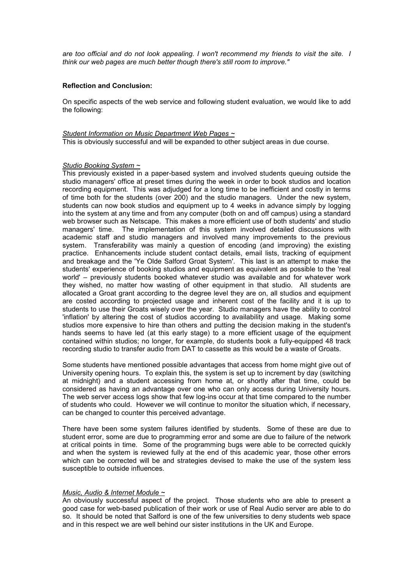*are too official and do not look appealing. I won't recommend my friends to visit the site. I think our web pages are much better though there's still room to improve."* 

#### **Reflection and Conclusion:**

On specific aspects of the web service and following student evaluation, we would like to add the following:

#### *Student Information on Music Department Web Pages ~* This is obviously successful and will be expanded to other subject areas in due course.

#### *Studio Booking System ~*

This previously existed in a paper-based system and involved students queuing outside the studio managers' office at preset times during the week in order to book studios and location recording equipment. This was adjudged for a long time to be inefficient and costly in terms of time both for the students (over 200) and the studio managers. Under the new system, students can now book studios and equipment up to 4 weeks in advance simply by logging into the system at any time and from any computer (both on and off campus) using a standard web browser such as Netscape. This makes a more efficient use of both students' and studio managers' time. The implementation of this system involved detailed discussions with academic staff and studio managers and involved many improvements to the previous system. Transferability was mainly a question of encoding (and improving) the existing practice. Enhancements include student contact details, email lists, tracking of equipment and breakage and the 'Ye Olde Salford Groat System'. This last is an attempt to make the students' experience of booking studios and equipment as equivalent as possible to the 'real world' – previously students booked whatever studio was available and for whatever work they wished, no matter how wasting of other equipment in that studio. All students are allocated a Groat grant according to the degree level they are on, all studios and equipment are costed according to projected usage and inherent cost of the facility and it is up to students to use their Groats wisely over the year. Studio managers have the ability to control 'inflation' by altering the cost of studios according to availability and usage. Making some studios more expensive to hire than others and putting the decision making in the student's hands seems to have led (at this early stage) to a more efficient usage of the equipment contained within studios; no longer, for example, do students book a fully-equipped 48 track recording studio to transfer audio from DAT to cassette as this would be a waste of Groats.

Some students have mentioned possible advantages that access from home might give out of University opening hours. To explain this, the system is set up to increment by day (switching at midnight) and a student accessing from home at, or shortly after that time, could be considered as having an advantage over one who can only access during University hours. The web server access logs show that few log-ins occur at that time compared to the number of students who could. However we will continue to monitor the situation which, if necessary, can be changed to counter this perceived advantage.

There have been some system failures identified by students. Some of these are due to student error, some are due to programming error and some are due to failure of the network at critical points in time. Some of the programming bugs were able to be corrected quickly and when the system is reviewed fully at the end of this academic year, those other errors which can be corrected will be and strategies devised to make the use of the system less susceptible to outside influences.

#### *Music, Audio & Internet Module ~*

An obviously successful aspect of the project. Those students who are able to present a good case for web-based publication of their work or use of Real Audio server are able to do so. It should be noted that Salford is one of the few universities to deny students web space and in this respect we are well behind our sister institutions in the UK and Europe.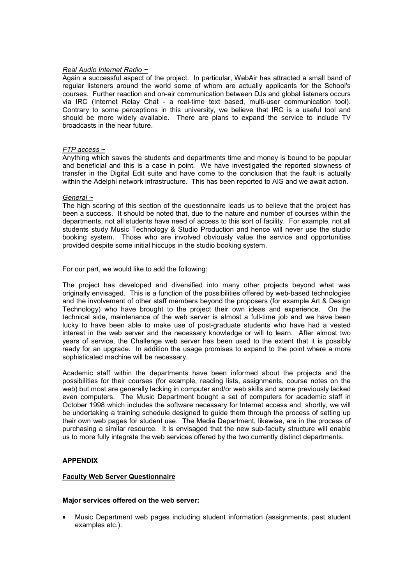#### *Real Audio Internet Radio ~*

Again a successful aspect of the project. In particular, WebAir has attracted a small band of regular listeners around the world some of whom are actually applicants for the School's courses. Further reaction and on-air communication between DJs and global listeners occurs via IRC (Internet Relay Chat - a real-time text based, multi-user communication tool). Contrary to some perceptions in this university, we believe that IRC is a useful tool and should be more widely available. There are plans to expand the service to include TV broadcasts in the near future.

#### *FTP access ~*

Anything which saves the students and departments time and money is bound to be popular and beneficial and this is a case in point. We have investigated the reported slowness of transfer in the Digital Edit suite and have come to the conclusion that the fault is actually within the Adelphi network infrastructure. This has been reported to AIS and we await action.

## *General ~*

The high scoring of this section of the questionnaire leads us to believe that the project has been a success. It should be noted that, due to the nature and number of courses within the departments, not all students have need of access to this sort of facility. For example, not all students study Music Technology & Studio Production and hence will never use the studio booking system. Those who are involved obviously value the service and opportunities provided despite some initial hiccups in the studio booking system.

For our part, we would like to add the following:

The project has developed and diversified into many other projects beyond what was originally envisaged. This is a function of the possibilities offered by web-based technologies and the involvement of other staff members beyond the proposers (for example Art & Design Technology) who have brought to the project their own ideas and experience. On the technical side, maintenance of the web server is almost a full-time job and we have been lucky to have been able to make use of post-graduate students who have had a vested interest in the web server and the necessary knowledge or will to learn. After almost two years of service, the Challenge web server has been used to the extent that it is possibly ready for an upgrade. In addition the usage promises to expand to the point where a more sophisticated machine will be necessary.

Academic staff within the departments have been informed about the projects and the possibilities for their courses (for example, reading lists, assignments, course notes on the web) but most are generally lacking in computer and/or web skills and some previously lacked even computers. The Music Department bought a set of computers for academic staff in October 1998 which includes the software necessary for Internet access and, shortly, we will be undertaking a training schedule designed to guide them through the process of setting up their own web pages for student use. The Media Department, likewise, are in the process of purchasing a similar resource. It is envisaged that the new sub-faculty structure will enable us to more fully integrate the web services offered by the two currently distinct departments.

## **APPENDIX**

## **Faculty Web Server Questionnaire**

#### **Major services offered on the web server:**

• Music Department web pages including student information (assignments, past student examples etc.).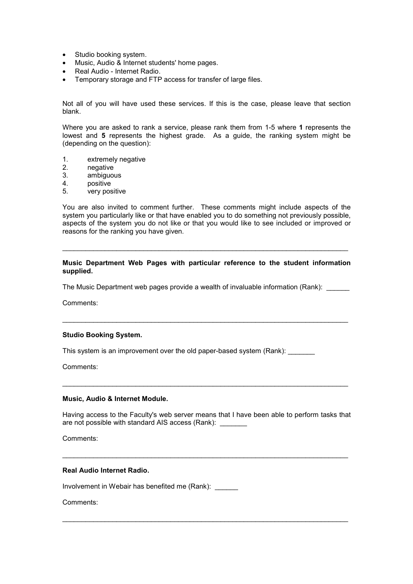- Studio booking system.
- Music, Audio & Internet students' home pages.
- Real Audio Internet Radio.
- Temporary storage and FTP access for transfer of large files.

Not all of you will have used these services. If this is the case, please leave that section blank.

Where you are asked to rank a service, please rank them from 1-5 where **1** represents the lowest and **5** represents the highest grade. As a guide, the ranking system might be (depending on the question):

- 1. extremely negative
- 2. negative
- 3. ambiguous
- 4. positive
- 5. very positive

You are also invited to comment further. These comments might include aspects of the system you particularly like or that have enabled you to do something not previously possible, aspects of the system you do not like or that you would like to see included or improved or reasons for the ranking you have given.

#### **Music Department Web Pages with particular reference to the student information supplied.**

 $\mathcal{L}_\text{max} = \mathcal{L}_\text{max} = \mathcal{L}_\text{max} = \mathcal{L}_\text{max} = \mathcal{L}_\text{max} = \mathcal{L}_\text{max} = \mathcal{L}_\text{max} = \mathcal{L}_\text{max} = \mathcal{L}_\text{max} = \mathcal{L}_\text{max} = \mathcal{L}_\text{max} = \mathcal{L}_\text{max} = \mathcal{L}_\text{max} = \mathcal{L}_\text{max} = \mathcal{L}_\text{max} = \mathcal{L}_\text{max} = \mathcal{L}_\text{max} = \mathcal{L}_\text{max} = \mathcal{$ 

The Music Department web pages provide a wealth of invaluable information (Rank): \_\_\_\_\_

 $\mathcal{L}_\text{max}$  , and the set of the set of the set of the set of the set of the set of the set of the set of the set of the set of the set of the set of the set of the set of the set of the set of the set of the set of the

Comments:

#### **Studio Booking System.**

This system is an improvement over the old paper-based system (Rank):

Comments:

#### **Music, Audio & Internet Module.**

Having access to the Faculty's web server means that I have been able to perform tasks that are not possible with standard AIS access (Rank):

 $\mathcal{L}_\text{max} = \mathcal{L}_\text{max} = \mathcal{L}_\text{max} = \mathcal{L}_\text{max} = \mathcal{L}_\text{max} = \mathcal{L}_\text{max} = \mathcal{L}_\text{max} = \mathcal{L}_\text{max} = \mathcal{L}_\text{max} = \mathcal{L}_\text{max} = \mathcal{L}_\text{max} = \mathcal{L}_\text{max} = \mathcal{L}_\text{max} = \mathcal{L}_\text{max} = \mathcal{L}_\text{max} = \mathcal{L}_\text{max} = \mathcal{L}_\text{max} = \mathcal{L}_\text{max} = \mathcal{$ 

 $\mathcal{L}_\text{max} = \mathcal{L}_\text{max} = \mathcal{L}_\text{max} = \mathcal{L}_\text{max} = \mathcal{L}_\text{max} = \mathcal{L}_\text{max} = \mathcal{L}_\text{max} = \mathcal{L}_\text{max} = \mathcal{L}_\text{max} = \mathcal{L}_\text{max} = \mathcal{L}_\text{max} = \mathcal{L}_\text{max} = \mathcal{L}_\text{max} = \mathcal{L}_\text{max} = \mathcal{L}_\text{max} = \mathcal{L}_\text{max} = \mathcal{L}_\text{max} = \mathcal{L}_\text{max} = \mathcal{$ 

 $\mathcal{L}_\text{max}$  , and the set of the set of the set of the set of the set of the set of the set of the set of the set of the set of the set of the set of the set of the set of the set of the set of the set of the set of the

Comments:

# **Real Audio Internet Radio.**

Involvement in Webair has benefited me (Rank):

Comments: